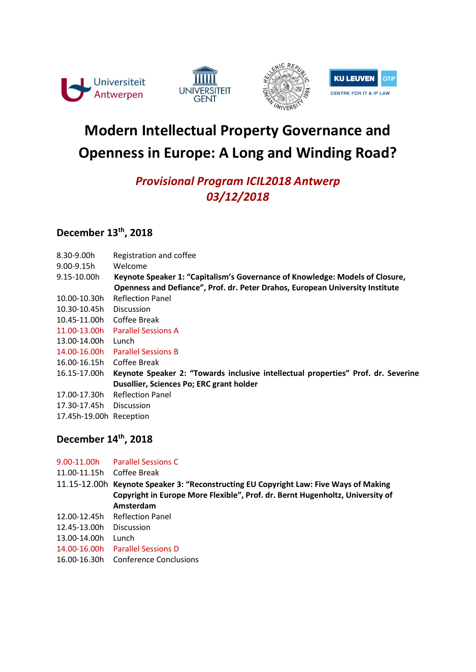







# Modern Intellectual Property Governance and Openness in Europe: A Long and Winding Road?

# Provisional Program ICIL2018 Antwerp 03/12/2018

# December 13<sup>th</sup>, 2018

| 8.30-9.00h              | Registration and coffee                                                           |
|-------------------------|-----------------------------------------------------------------------------------|
| $9.00 - 9.15h$          | Welcome                                                                           |
| 9.15-10.00h             | Keynote Speaker 1: "Capitalism's Governance of Knowledge: Models of Closure,      |
|                         | Openness and Defiance", Prof. dr. Peter Drahos, European University Institute     |
| 10.00-10.30h            | <b>Reflection Panel</b>                                                           |
| 10.30-10.45h            | <b>Discussion</b>                                                                 |
| 10.45-11.00h            | Coffee Break                                                                      |
| 11.00-13.00h            | <b>Parallel Sessions A</b>                                                        |
| 13.00-14.00h            | Lunch                                                                             |
| 14.00-16.00h            | <b>Parallel Sessions B</b>                                                        |
| 16.00-16.15h            | Coffee Break                                                                      |
| 16.15-17.00h            | Keynote Speaker 2: "Towards inclusive intellectual properties" Prof. dr. Severine |
|                         | Dusollier, Sciences Po; ERC grant holder                                          |
| 17.00-17.30h            | <b>Reflection Panel</b>                                                           |
| 17.30-17.45h            | <b>Discussion</b>                                                                 |
| 17.45h-19.00h Reception |                                                                                   |
|                         |                                                                                   |

# December 14<sup>th</sup>, 2018

| 9.00-11.00h  | <b>Parallel Sessions C</b>                                                            |
|--------------|---------------------------------------------------------------------------------------|
| 11.00-11.15h | Coffee Break                                                                          |
|              | 11.15-12.00h Keynote Speaker 3: "Reconstructing EU Copyright Law: Five Ways of Making |
|              | Copyright in Europe More Flexible", Prof. dr. Bernt Hugenholtz, University of         |
|              | Amsterdam                                                                             |
| 12.00-12.45h | <b>Reflection Panel</b>                                                               |
| 12.45-13.00h | <b>Discussion</b>                                                                     |
| 13.00-14.00h | Lunch                                                                                 |
| 14.00-16.00h | <b>Parallel Sessions D</b>                                                            |
| 16.00-16.30h | Conference Conclusions                                                                |
|              |                                                                                       |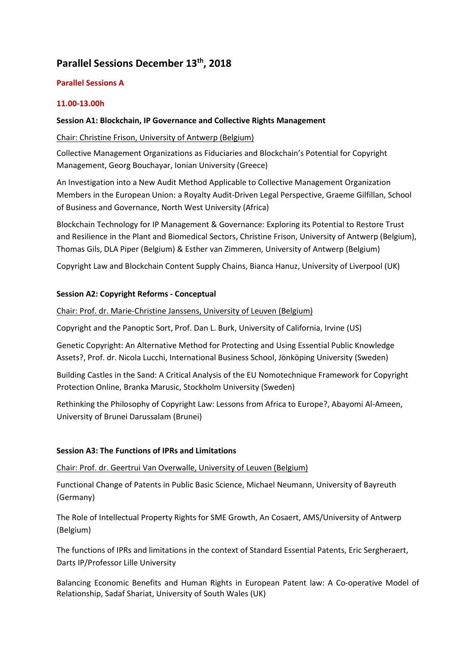## Parallel Sessions December 13<sup>th</sup>, 2018

#### Parallel Sessions A

#### 11.00-13.00h

#### Session A1: Blockchain, IP Governance and Collective Rights Management

#### Chair: Christine Frison, University of Antwerp (Belgium)

Collective Management Organizations as Fiduciaries and Blockchain's Potential for Copyright Management, Georg Bouchayar, Ionian University (Greece)

An Investigation into a New Audit Method Applicable to Collective Management Organization Members in the European Union: a Royalty Audit-Driven Legal Perspective, Graeme Gilfillan, School of Business and Governance, North West University (Africa)

Blockchain Technology for IP Management & Governance: Exploring its Potential to Restore Trust and Resilience in the Plant and Biomedical Sectors, Christine Frison, University of Antwerp (Belgium), Thomas Gils, DLA Piper (Belgium) & Esther van Zimmeren, University of Antwerp (Belgium)

Copyright Law and Blockchain Content Supply Chains, Bianca Hanuz, University of Liverpool (UK)

#### Session A2: Copyright Reforms - Conceptual

Chair: Prof. dr. Marie-Christine Janssens, University of Leuven (Belgium)

Copyright and the Panoptic Sort, Prof. Dan L. Burk, University of California, Irvine (US)

Genetic Copyright: An Alternative Method for Protecting and Using Essential Public Knowledge Assets?, Prof. dr. Nicola Lucchi, International Business School, Jönköping University (Sweden)

Building Castles in the Sand: A Critical Analysis of the EU Nomotechnique Framework for Copyright Protection Online, Branka Marusic, Stockholm University (Sweden)

Rethinking the Philosophy of Copyright Law: Lessons from Africa to Europe?, Abayomi Al-Ameen, University of Brunei Darussalam (Brunei)

#### Session A3: The Functions of IPRs and Limitations

Chair: Prof. dr. Geertrui Van Overwalle, University of Leuven (Belgium)

Functional Change of Patents in Public Basic Science, Michael Neumann, University of Bayreuth (Germany)

The Role of Intellectual Property Rights for SME Growth, An Cosaert, AMS/University of Antwerp (Belgium)

The functions of IPRs and limitations in the context of Standard Essential Patents, Eric Sergheraert, Darts IP/Professor Lille University

Balancing Economic Benefits and Human Rights in European Patent law: A Co-operative Model of Relationship, Sadaf Shariat, University of South Wales (UK)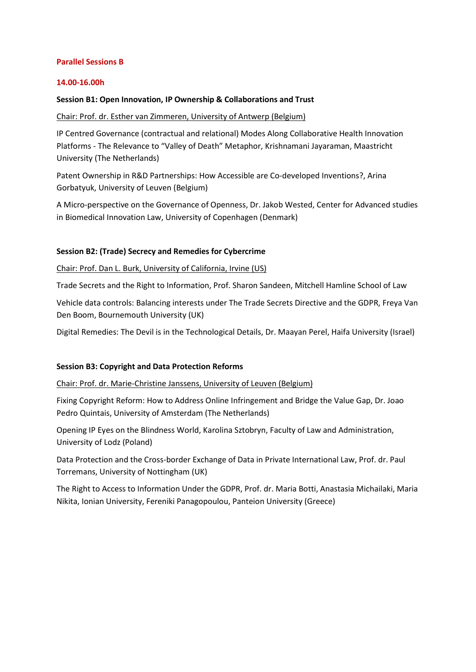#### Parallel Sessions B

#### 14.00-16.00h

#### Session B1: Open Innovation, IP Ownership & Collaborations and Trust

#### Chair: Prof. dr. Esther van Zimmeren, University of Antwerp (Belgium)

IP Centred Governance (contractual and relational) Modes Along Collaborative Health Innovation Platforms - The Relevance to "Valley of Death" Metaphor, Krishnamani Jayaraman, Maastricht University (The Netherlands)

Patent Ownership in R&D Partnerships: How Accessible are Co-developed Inventions?, Arina Gorbatyuk, University of Leuven (Belgium)

A Micro-perspective on the Governance of Openness, Dr. Jakob Wested, Center for Advanced studies in Biomedical Innovation Law, University of Copenhagen (Denmark)

#### Session B2: (Trade) Secrecy and Remedies for Cybercrime

Chair: Prof. Dan L. Burk, University of California, Irvine (US)

Trade Secrets and the Right to Information, Prof. Sharon Sandeen, Mitchell Hamline School of Law

Vehicle data controls: Balancing interests under The Trade Secrets Directive and the GDPR, Freya Van Den Boom, Bournemouth University (UK)

Digital Remedies: The Devil is in the Technological Details, Dr. Maayan Perel, Haifa University (Israel)

#### Session B3: Copyright and Data Protection Reforms

Chair: Prof. dr. Marie-Christine Janssens, University of Leuven (Belgium)

Fixing Copyright Reform: How to Address Online Infringement and Bridge the Value Gap, Dr. Joao Pedro Quintais, University of Amsterdam (The Netherlands)

Opening IP Eyes on the Blindness World, Karolina Sztobryn, Faculty of Law and Administration, University of Lodz (Poland)

Data Protection and the Cross-border Exchange of Data in Private International Law, Prof. dr. Paul Torremans, University of Nottingham (UK)

The Right to Access to Information Under the GDPR, Prof. dr. Maria Botti, Anastasia Michailaki, Maria Nikita, Ionian University, Fereniki Panagopoulou, Panteion University (Greece)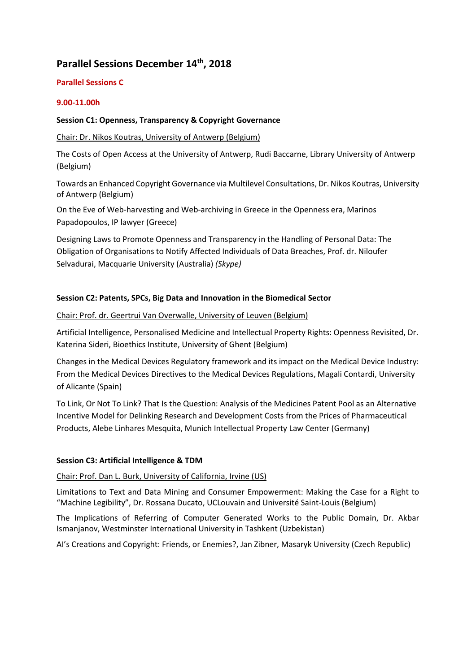### Parallel Sessions December 14<sup>th</sup>, 2018

#### Parallel Sessions C

#### 9.00-11.00h

#### Session C1: Openness, Transparency & Copyright Governance

#### Chair: Dr. Nikos Koutras, University of Antwerp (Belgium)

The Costs of Open Access at the University of Antwerp, Rudi Baccarne, Library University of Antwerp (Belgium)

Towards an Enhanced Copyright Governance via Multilevel Consultations, Dr. Nikos Koutras, University of Antwerp (Belgium)

On the Eve of Web-harvesting and Web-archiving in Greece in the Openness era, Marinos Papadopoulos, IP lawyer (Greece)

Designing Laws to Promote Openness and Transparency in the Handling of Personal Data: The Obligation of Organisations to Notify Affected Individuals of Data Breaches, Prof. dr. Niloufer Selvadurai, Macquarie University (Australia) (Skype)

#### Session C2: Patents, SPCs, Big Data and Innovation in the Biomedical Sector

#### Chair: Prof. dr. Geertrui Van Overwalle, University of Leuven (Belgium)

Artificial Intelligence, Personalised Medicine and Intellectual Property Rights: Openness Revisited, Dr. Katerina Sideri, Bioethics Institute, University of Ghent (Belgium)

Changes in the Medical Devices Regulatory framework and its impact on the Medical Device Industry: From the Medical Devices Directives to the Medical Devices Regulations, Magali Contardi, University of Alicante (Spain)

To Link, Or Not To Link? That Is the Question: Analysis of the Medicines Patent Pool as an Alternative Incentive Model for Delinking Research and Development Costs from the Prices of Pharmaceutical Products, Alebe Linhares Mesquita, Munich Intellectual Property Law Center (Germany)

#### Session C3: Artificial Intelligence & TDM

#### Chair: Prof. Dan L. Burk, University of California, Irvine (US)

Limitations to Text and Data Mining and Consumer Empowerment: Making the Case for a Right to "Machine Legibility", Dr. Rossana Ducato, UCLouvain and Université Saint-Louis (Belgium)

The Implications of Referring of Computer Generated Works to the Public Domain, Dr. Akbar Ismanjanov, Westminster International University in Tashkent (Uzbekistan)

AI's Creations and Copyright: Friends, or Enemies?, Jan Zibner, Masaryk University (Czech Republic)